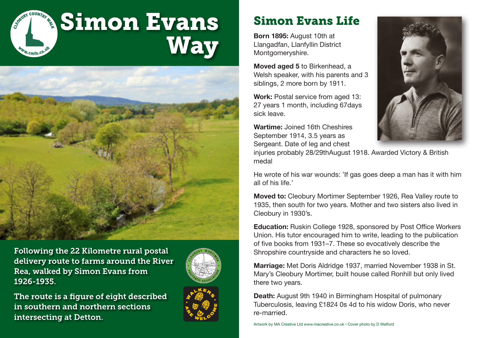



Following the 22 Kilometre rural postal delivery route to farms around the River Rea, walked by Simon Evans from 1926-1935.



The route is a figure of eight described in southern and northern sections intersecting at Detton.



## Simon Evans Life

**Born 1895:** August 10th at Llangadfan, Llanfyllin District Montgomeryshire.

**Moved aged 5** to Birkenhead, a Welsh speaker, with his parents and 3 siblings, 2 more born by 1911.

**Work: Postal service from aged 13:** 27 years 1 month, including 67days sick leave.

**Wartime:** Joined 16th Cheshires September 1914, 3.5 years as Sergeant. Date of leg and chest



injuries probably 28/29thAugust 1918. Awarded Victory & British medal

He wrote of his war wounds: 'If gas goes deep a man has it with him all of his life.'

**Moved to:** Cleobury Mortimer September 1926, Rea Valley route to 1935, then south for two years. Mother and two sisters also lived in Cleobury in 1930's.

**Education:** Ruskin College 1928, sponsored by Post Office Workers Union. His tutor encouraged him to write, leading to the publication of five books from 1931–7. These so evocatively describe the Shropshire countryside and characters he so loved.

**Marriage:** Met Doris Aldridge 1937, married November 1938 in St. Mary's Cleobury Mortimer, built house called Ronhill but only lived there two years.

**Death:** August 9th 1940 in Birmingham Hospital of pulmonary Tuberculosis, leaving £1824 0s 4d to his widow Doris, who never re-married.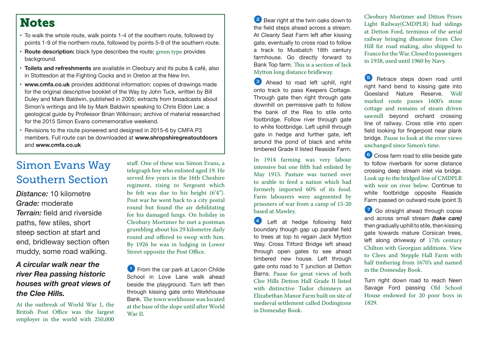#### **Notes**

- To walk the whole route, walk points 1-4 of the southern route, followed by points 1-9 of the northern route, followed by points 5-9 of the southern route.
- **• Route description:** black type describes the route; green type provides background.
- **Foilets and refreshments** are available in Cleobury and its pubs & café, also in Stottesdon at the Fighting Cocks and in Oreton at the New Inn.
- **www.cmfa.co.uk** provides additional information: copies of drawings made for the original descriptive booklet of the Way by John Tuck, written by Bill Duley and Mark Baldwin, published in 2005; extracts from broadcasts about Simon's writings and life by Mark Baldwin speaking to Chris Eldon Lee; a geological guide by Professor Brian Wilkinson; archive of material researched for the 2015 Simon Evans commemorative weekend.
- Revisions to the route pioneered and designed in 2015-6 by CMFA P3 members. Full route can be downloaded at **www.shropshiregreatoutdoors** and **www.cmfa.co.uk**

### Simon Evans Way Southern Section

*Distance:* 10 kilometre *Grade:* moderate *Terrain:* field and riverside paths, few stiles, short steep section at start and end, bridleway section often muddy, some road walking.

#### *A circular walk near the river Rea passing historic houses with great views of the Clee Hills.*

At the outbreak of World War 1, the British Post Office was the largest employer in the world with 250,000

staff. One of these was Simon Evans, a telegraph boy who enlisted aged 19. He served five years in the 16th Cheshire regiment, rising to Sergeant which he felt was due to his height (6'4"). Post war he went back to a city postal round but found the air debilitating for his damaged lungs. On holiday in Cleobury Mortimer he met a postman grumbling about his 29 kilometre daily round and offered to swop with him. By 1926 he was in lodging in Lower Street opposite the Post Office.

<sup>1</sup> From the car park at Lacon Childe School in Love Lane walk ahead beside the playground. Turn left then through kissing gate onto Workhouse Bank. The town workhouse was located at the base of the slope until after World War II.

<sup>2</sup> Bear right at the twin oaks down to the field steps ahead across a stream. At Cleanly Seat Farm left after kissing gate, eventually to cross road to follow a track to Musbatch 16th century farmhouse. Go directly forward to Bank Top farm. This is a section of Jack Mytton long distance bridleway.

<sup>3</sup> Ahead to road left uphill, right onto track to pass Keepers Cottage. Through gate then right through gate downhill on permissive path to follow the bank of the Rea to stile onto footbridge. Follow river through gate to white footbridge. Left uphill through gate in hedge and further gate, left around the pond of black and white timbered Grade II listed Reaside Farm.

In 1914 farming was very labour intensive but one fifth had enlisted by May 1915. Pasture was turned over to arable to feed a nation which had formerly imported 60% of its food. Farm labourers were augmented by prisoners of war from a camp of 15-20 based at Mawley.

4 Left at hedge following field boundary though gap up parallel field to trees at top to regain Jack Mytton Way. Cross Titford Bridge left ahead through open gates to see ahead timbered new house. Left through gate onto road to T junction at Detton Barns. Pause for great views of both Clee Hills Detton Hall Grade II listed with distinctive Tudor chimneys an Elizabethan Manor Farm built on site of medieval settlement called Dodingtone in Domesday Book.

Cleobury Mortimer and Ditton Priors Light Railway(CMDPLR) had sidings at Detton Ford, terminus of the aerial railway bringing dhustone from Clee Hill for road making, also shipped to France for the War. Closed to passengers in 1938, used until 1960 by Navy.

**5** Retrace steps down road until right hand bend to kissing gate into Goesland Nature Reserve. Well marked route passes 1600's stone cottage and remains of steam driven sawmill beyond orchard crossing line of railway. Cross stile into open field looking for fingerpost near plank bridge. Pause to look at the river views unchanged since Simon's time.

6 Cross farm road to stile beside gate to follow riverbank for some distance crossing deep stream inlet via bridge. Look up to the bridged line of CMDPLR with weir on river below. Continue to white footbridge opposite Reaside Farm passed on outward route (point 3)

7 Go straight ahead through copse and across small stream *(take care)* then gradually uphill to stile, then kissing gate towards mature Corsican trees, left along driveway of 17th century Chilton with Georgian additions. View to Clees and Stepple Hall Farm with half timbering from 1670's and named in the Domesday Book.

Turn right down road to reach Neen Savage Ford passing Old School House endowed for 20 poor boys in 1829.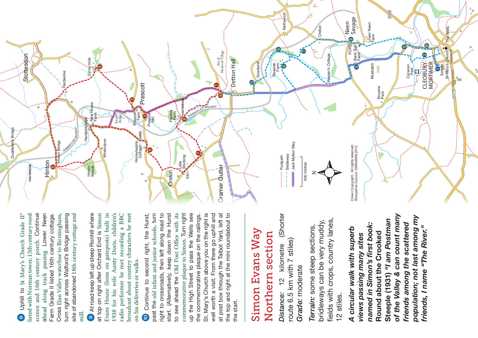а. **B4363** Nethercott **Nethercott** Neen Savage Farm<br>Farm<br>Farm Lower Neen The Wells Chiltor St Mary's Church The Wells  $\bullet$  $\bullet$ FORD  $\odot$ School Legis<br>
School Legis<br>
Brwarys Qrurch  $\bullet$ Bank Top<br>Farm *Site of* **A4117** HIGH STREET CHURCH S *Medieval Village*  $\ddot{\mathbf{c}}$ Stottesdon per's Cottage Keeper's Cottage Stottesdon Detton Hall Ginny Hole Detton Hall CLEOBURY MORTHMER Goesland Goesland Musbatch MORTIMER CLEOBURY Reaside Farm Musbatch Ginnyl Caravan Park dwicke Hardwicke ъ Prescott Broome Park **FOOTBRIDGE** New House House<br>Farm **CONFOOTER** DISMANTLED R **AILWAY** Factory Farm Prescott<br>K\_Farm *Ancient*   $\bullet$ Prescott Mill *Bridge* Hardwickforge Hardwickforge DISMANTLED RAILWAY **x** Bridge Duddlewick Bridge **FORD** Winterdyne Winterdyne Tinton Bridge preysuckle<br>Cottage Hinton Bridge Jack Mytton Way **Honeysuckle** Jack Mytton Way Crown Copyright. All rights reserved. Crown Copyright. All rights reserved.<br>Shropshire Council 100049049.2015 Shropshire Council 100049049.2015 Duddle Bridleway Footpath Little Stocking Hinton 500 metres 500 metres **Cramer Gutter FOOTBRIDGE** Cramer Gutter FOOTBRIDG Hinton Woods **Oreton** Ė Kiln 8 Uphill to St Mary's Church Grade II\* listed with Norman tower, 15th century rood screen and 16th century porch. Continue ahead along track passing Lower Neen Farm Grade II listed 16th century cottage. Uphill to St Mary's Church Grade II\* isted with Norman tower, 15th century rood screen and 16th century porch. Continue Lower Neen Farm Grade II listed 16th century cottage.

Cross Elan Valley waterline to Birmingham, turn right across Walford's Bridge passing site of abandoned 18th century cottage and 9 At road keep left up steep Ronhill where at top on right after Orchard End is Simon Evans House (lions on gateposts) built in 1938 for his wife Aunty Doris, children's radio performer he met recording a BBC broadcast about country characters he met turn right across Walford's Bridge passing <sup>9</sup> At road keep left up steep Ronhill where at top on right after Orchard End is Simon Evans House (lions on gateposts) built in 1938 for his wife Aunty Doris, children's broadcast about country characters he met Cross Elan Valley waterline to Birmingham, site of abandoned 18th century cottage and radio performer he met recording a BBC on his deliveries or walks. on his deliveries or walks. mill.

passing

track

along

ahead

 $\bullet$ 

**1** Continue to second right, the Hurst, past the old infant and junior schools, turn right to crossroads, then left along road to start. (Alternatively, keep down the Hurst to see ahead the Old Post Office with its commemorative plaque to Simon. Turn right up the High Street to pass the Wells see the commemorative plaque on the railings. St. Mary's Church above you on the right is well worth a visit. From there go uphill and at post box through the Talbot Yard, left at the top and right at the mini roundabout to Continue to second right, the Hurst, past the old infant and junior schools, turn right to crossroads, then left along road to start. (Alternatively, keep down the Hurst to see ahead the Old Post Office with its commemorative plaque to Simon. Turn right up the High Street to pass the Wells see St. Mary's Church above you on the right is well worth a visit. From there go uphill and at post box through the Talbot Yard, left at the top and right at the mini roundabout to the commemorative plaque on the railings. the start. the start. 9

# Simon Evans Way Simon Evans Way Northern section Northern section

*Distance:* 12 kilometre (Shorter (Shorter route 6.5 km with 7 stiles) route 6.5 km with 7 stiles) kilometre Grade: moderate *Grade:* moderate  $\frac{1}{2}$ Distance:

fields with crops, country lanes, fields with crops, country lanes, bridleways can be very muddy, bridleways can be very muddy, *Terrain:* some steep sections, Terrain: some steep sections, 12 stiles. 12 stiles.

*of the Valley & can count many population; not last among my*  of the Valley & can count many population; not last among my **Steeple (1931)** *"I am Postman*  Steeple (1931) "I am Postman *named in Simon's first book: friends among the scattered*  friends among the scattered named in Simon's first book: friends, I name "The River." *A circular walk with superb friends, I name "The River."*A circular walk with superb **Round about the Crooked**  Round about the Crooked *views passing many sites*  views passing many sites